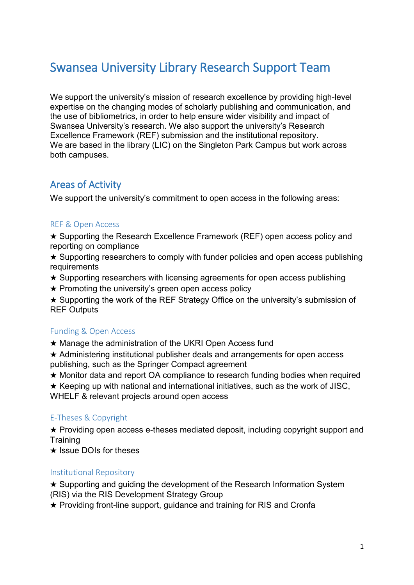# Swansea University Library Research Support Team

We support the university's mission of research excellence by providing high-level expertise on the changing modes of scholarly publishing and communication, and the use of bibliometrics, in order to help ensure wider visibility and impact of Swansea University's research. We also support the university's Research Excellence Framework (REF) submission and the institutional repository. We are based in the library (LIC) on the Singleton Park Campus but work across both campuses.

# Areas of Activity

We support the university's commitment to open access in the following areas:

#### REF & Open Access

★ Supporting the Research Excellence Framework (REF) open access policy and reporting on compliance

 $\star$  Supporting researchers to comply with funder policies and open access publishing requirements

- ★ Supporting researchers with licensing agreements for open access publishing
- $\star$  Promoting the university's green open access policy

★ Supporting the work of the REF Strategy Office on the university's submission of REF Outputs

# Funding & Open Access

★ Manage the administration of the UKRI Open Access fund

★ Administering institutional publisher deals and arrangements for open access publishing, such as the Springer Compact agreement

★ Monitor data and report OA compliance to research funding bodies when required

 $\star$  Keeping up with national and international initiatives, such as the work of JISC,

WHELF & relevant projects around open access

# E-Theses & Copyright

★ Providing open access e-theses mediated deposit, including copyright support and **Training** 

★ Issue DOIs for theses

# Institutional Repository

★ Supporting and guiding the development of the Research Information System (RIS) via the RIS Development Strategy Group

★ Providing front-line support, guidance and training for RIS and Cronfa